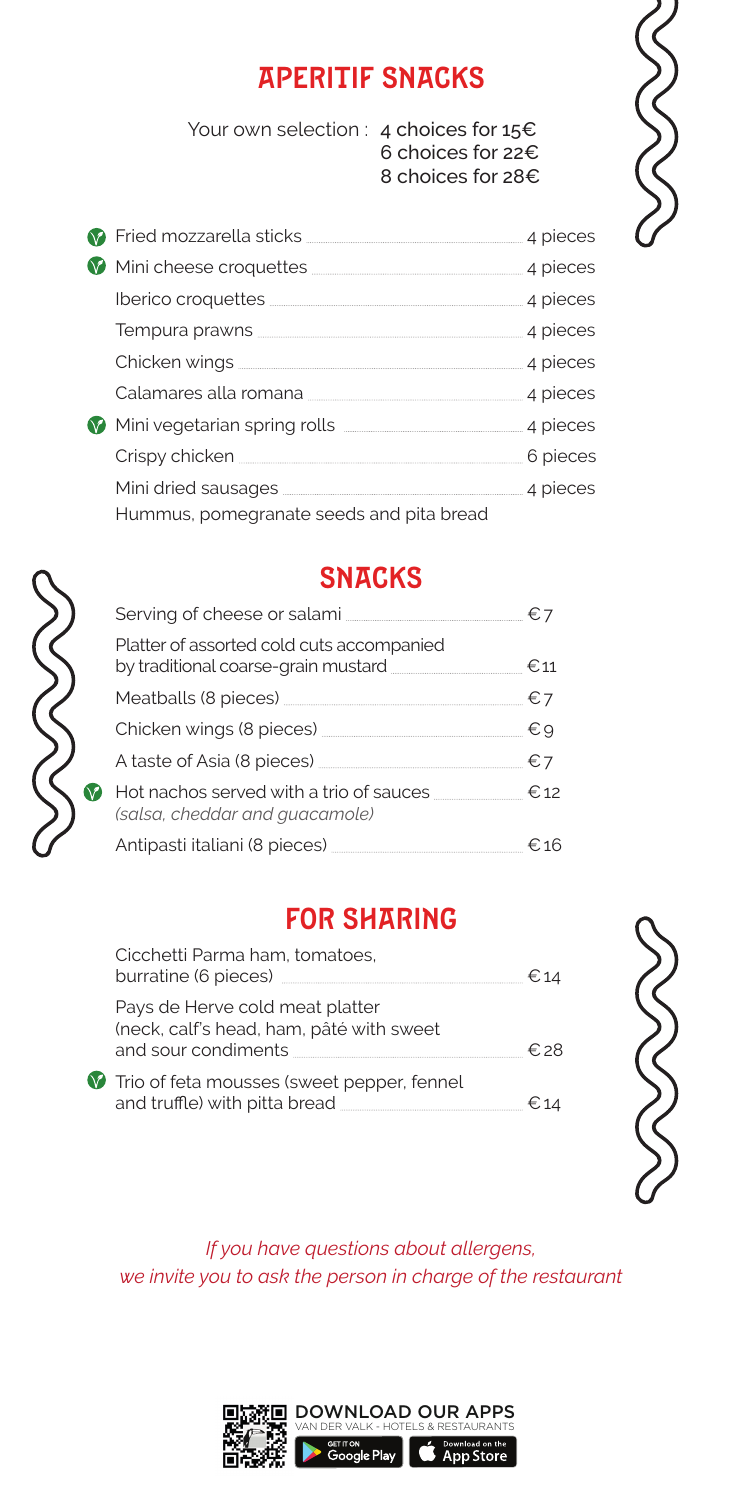#### APERITIF SNACKS

Your own selection : 4 choices for 15€ 6 choices for 22€ 8 choices for 28€



| <b>7</b> Fried mozzarella sticks <b>with the contract of the contract of the field of Frieds</b> 4 pieces                                                                                                                            |          |
|--------------------------------------------------------------------------------------------------------------------------------------------------------------------------------------------------------------------------------------|----------|
|                                                                                                                                                                                                                                      |          |
|                                                                                                                                                                                                                                      |          |
|                                                                                                                                                                                                                                      |          |
|                                                                                                                                                                                                                                      |          |
|                                                                                                                                                                                                                                      |          |
| Mini vegetarian spring rolls <b>with the contract of the property of the contract of the contract of the contract of the contract of the contract of the contract of the contract of the contract of the contract of the contrac</b> |          |
| Crispy chicken <b>Executive Crispy</b> chicken                                                                                                                                                                                       | 6 pieces |
|                                                                                                                                                                                                                                      |          |
| Hummus, pomegranate seeds and pita bread                                                                                                                                                                                             |          |



V

#### **SNACKS**

| Platter of assorted cold cuts accompanied<br>by traditional coarse-grain mustard <b>Manual</b> €11              |              |
|-----------------------------------------------------------------------------------------------------------------|--------------|
| Meatballs (8 pieces) [1999] Meatballs (8 pieces) [1999] Meato and Manual Measure of the Manual Measure of the M | $\epsilon$ 7 |
|                                                                                                                 | €9           |
|                                                                                                                 | $\epsilon$ 7 |
| Hot nachos served with a trio of sauces<br>(salsa, cheddar and quacamole)                                       | €.12         |
| Antipasti italiani (8 pieces) <u>__________________</u> ___________ €16                                         |              |

#### FOR SHARING

| Cicchetti Parma ham, tomatoes,<br>burratine (6 pieces) __                                          |  |
|----------------------------------------------------------------------------------------------------|--|
| Pays de Herve cold meat platter<br>(neck, calf's head, ham, pâté with sweet<br>and sour condiments |  |
| Trio of feta mousses (sweet pepper, fennel<br>and truffle) with pitta bread                        |  |



*If you have questions about allergens, we invite you to ask the person in charge of the restaurant*

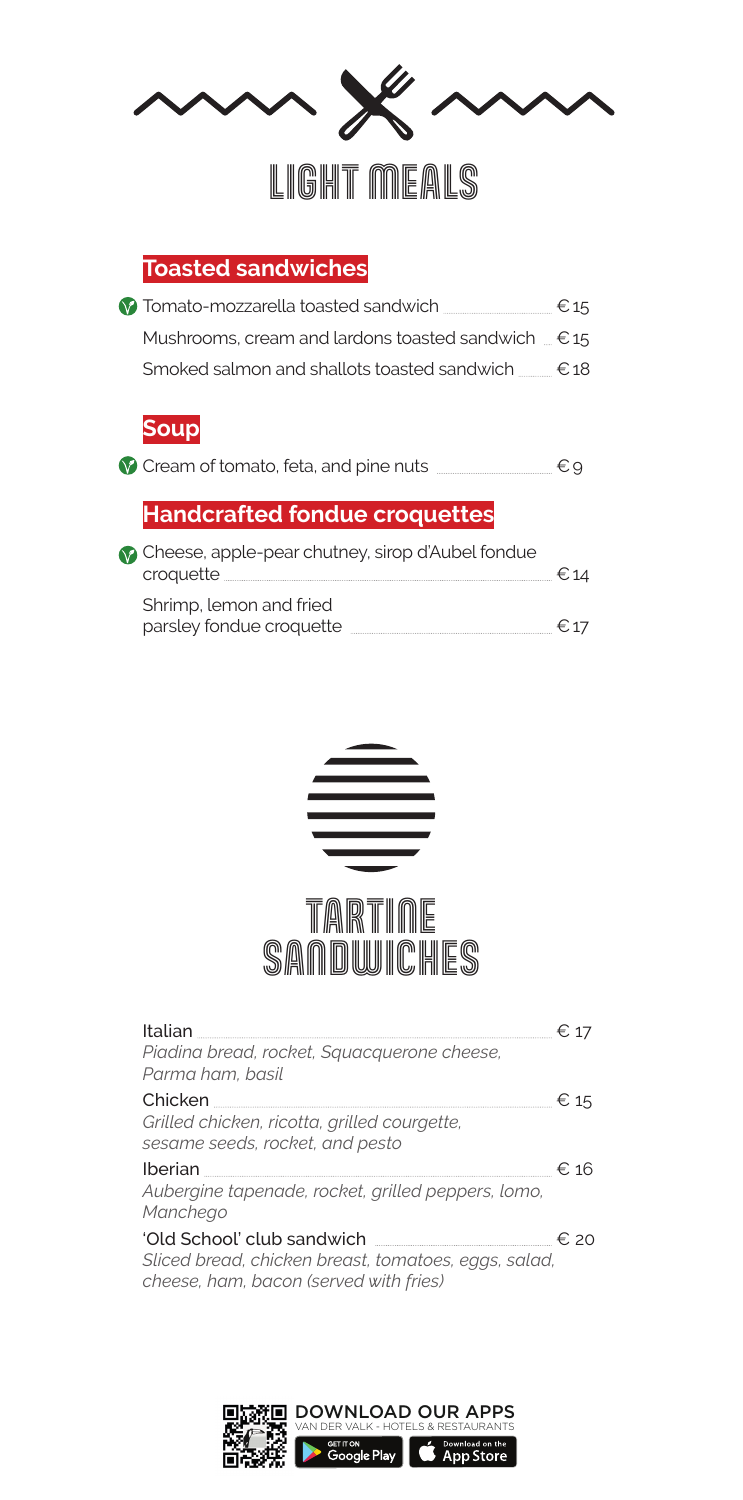

#### **Toasted sandwiches**

| 17 Tomato-mozzarella toasted sandwich                       | $\epsilon$ 15 |
|-------------------------------------------------------------|---------------|
| Mushrooms, cream and lardons toasted sandwich $\epsilon$ 15 |               |
| Smoked salmon and shallots toasted sandwich <u></u> €18     |               |
|                                                             |               |

#### **Soup**

|  |  | Cream of tomato, feta, and pine nuts |  |  |  | €9 |  |
|--|--|--------------------------------------|--|--|--|----|--|
|--|--|--------------------------------------|--|--|--|----|--|

#### **Handcrafted fondue croquettes**

| Cheese, apple-pear chutney, sirop d'Aubel fondue<br>croquette | € 14 |
|---------------------------------------------------------------|------|
| Shrimp, lemon and fried                                       |      |
| parsley fondue croquette                                      | € 17 |



| Italian                                                                                        | € 17     |
|------------------------------------------------------------------------------------------------|----------|
| Piadina bread, rocket, Squacquerone cheese,<br>Parma ham, basil                                |          |
|                                                                                                | $\in$ 15 |
| Grilled chicken, ricotta, grilled courgette,<br>sesame seeds, rocket, and pesto                |          |
| Iberian                                                                                        | €. 16    |
| Aubergine tapenade, rocket, grilled peppers, lomo,<br>Manchego                                 |          |
| 'Old School' club sandwich                                                                     | € 20     |
| Sliced bread, chicken breast, tomatoes, eggs, salad,<br>cheese, ham, bacon (served with fries) |          |

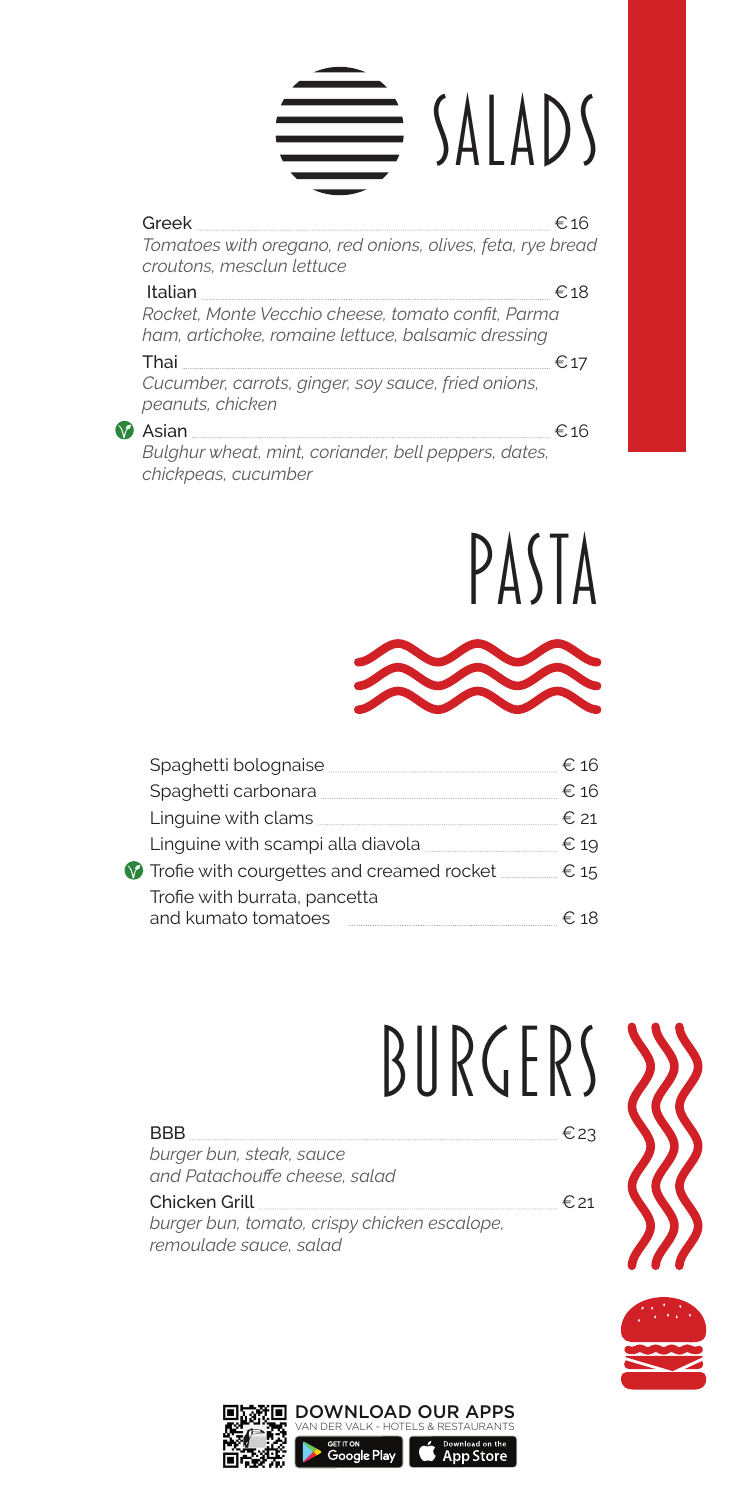## Greek <del>€</del>16 E SALADS

*Tomatoes with oregano, red onions, olives, feta, rye bread croutons, mesclun lettuce*  Italian €18 *Rocket, Monte Vecchio cheese, tomato confit, Parma ham, artichoke, romaine lettuce, balsamic dressing*  Thai  $\epsilon_{17}$ *Cucumber, carrots, ginger, soy sauce, fried onions, peanuts, chicken*   $\bullet$  Asian  $\epsilon$ 16

*Bulghur wheat, mint, coriander, bell peppers, dates, chickpeas, cucumber* 





| Spaghetti bolognaise                                 |      |               |
|------------------------------------------------------|------|---------------|
| Spaghetti carbonara                                  |      | € 16          |
| Linguine with clams                                  | € 21 |               |
| Linguine with scampi alla diavola                    |      | $\epsilon$ 19 |
| Trofie with courgettes and creamed rocket            |      | $\in$ 15      |
| Trofie with burrata, pancetta<br>and kumato tomatoes |      | €` 18         |
|                                                      |      |               |

# BURGERS

 $BBB$   $\in$  23 *burger bun, steak, sauce and Patachouffe cheese, salad*  Chicken Grill  $\epsilon_{21}$ *burger bun, tomato, crispy chicken escalope, remoulade sauce, salad*



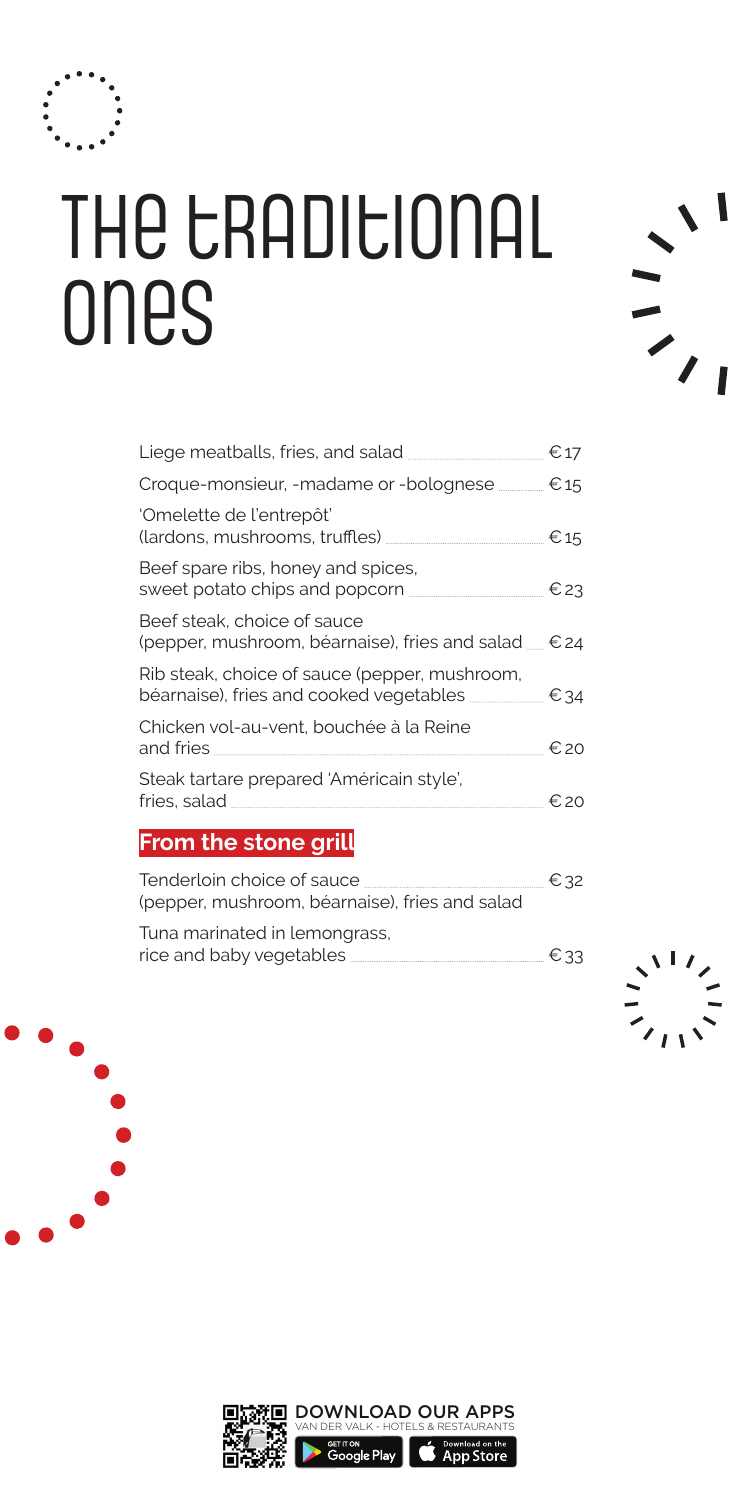

### THE CRADICIONAL ones

| €17                                                             |
|-----------------------------------------------------------------|
| € 15                                                            |
| € 15                                                            |
| $E$ 23                                                          |
| (pepper, mushroom, béarnaise), fries and salad <sub>—</sub> €24 |
| . € 34                                                          |
| €20                                                             |
| €.20                                                            |
|                                                                 |

#### **From the stone grill**

| Tenderloin choice of sauce                     | € 32 |
|------------------------------------------------|------|
| (pepper, mushroom, béarnaise), fries and salad |      |
| Tuna marinated in lemongrass,                  |      |
| rice and baby vegetables                       | € 33 |



 $\frac{1}{2}$ 



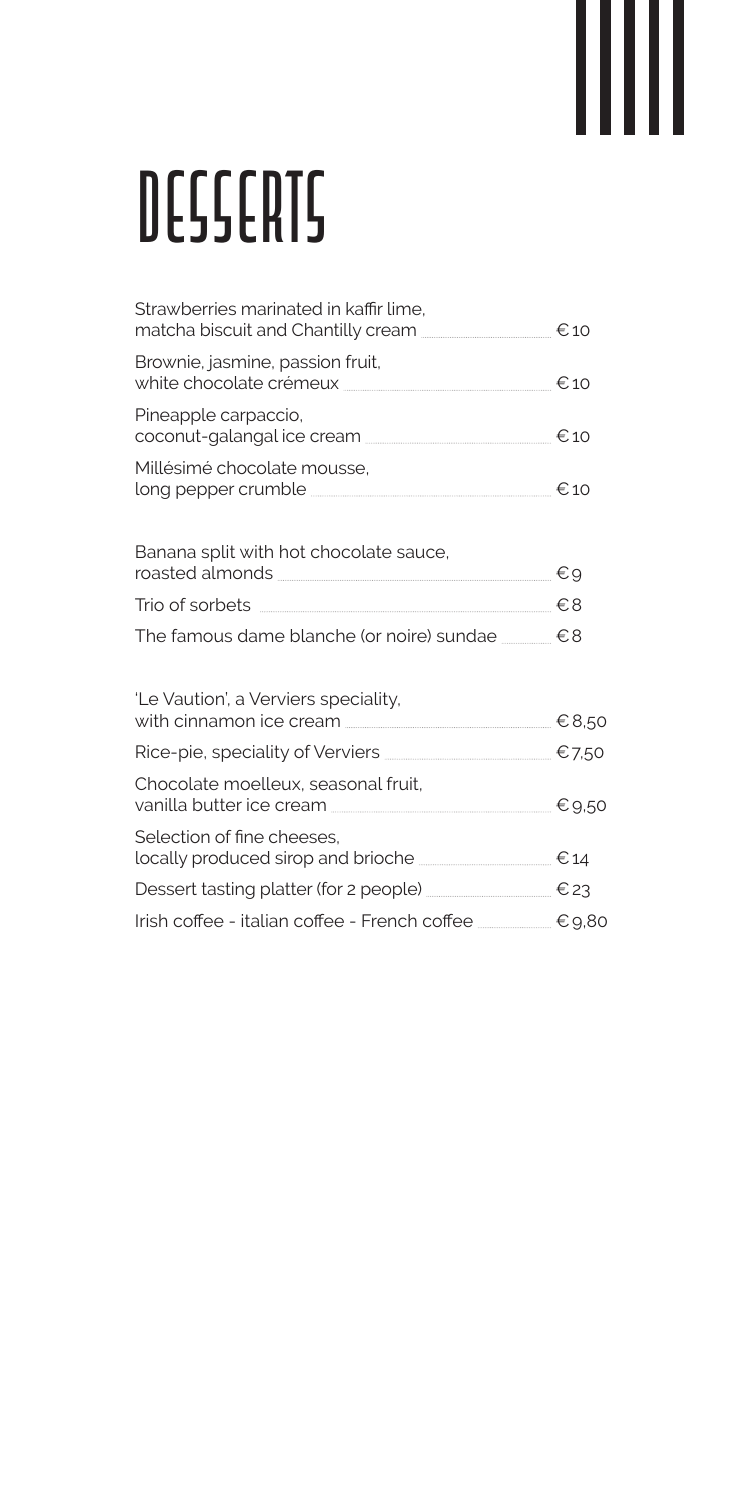# *desserts*

| Strawberries marinated in kaffir lime,                                                                  |  |
|---------------------------------------------------------------------------------------------------------|--|
| Brownie, jasmine, passion fruit,<br>white chocolate crémeux <u>etan en exemple</u> a contra en exemple. |  |
| Pineapple carpaccio,<br>coconut-galangal ice cream <b>Manual Example 10</b>                             |  |
| Millésimé chocolate mousse,                                                                             |  |
| Banana split with hot chocolate sauce,                                                                  |  |
| Trio of sorbets <del>■ 2000</del> Trio of sorbets ● 28                                                  |  |
| The famous dame blanche (or noire) sundae _______ €8                                                    |  |
| 'Le Vaution', a Verviers speciality,                                                                    |  |
| Rice-pie, speciality of Verviers <u>_______________</u> _________________ €7,50                         |  |
| Chocolate moelleux, seasonal fruit,                                                                     |  |
| Selection of fine cheeses.<br>locally produced sirop and brioche <b>________________</b> €14            |  |
| Dessert tasting platter (for 2 people) _________________ € 23                                           |  |
| Irish coffee - italian coffee - French coffee ________ €9,80                                            |  |
|                                                                                                         |  |

Ш

║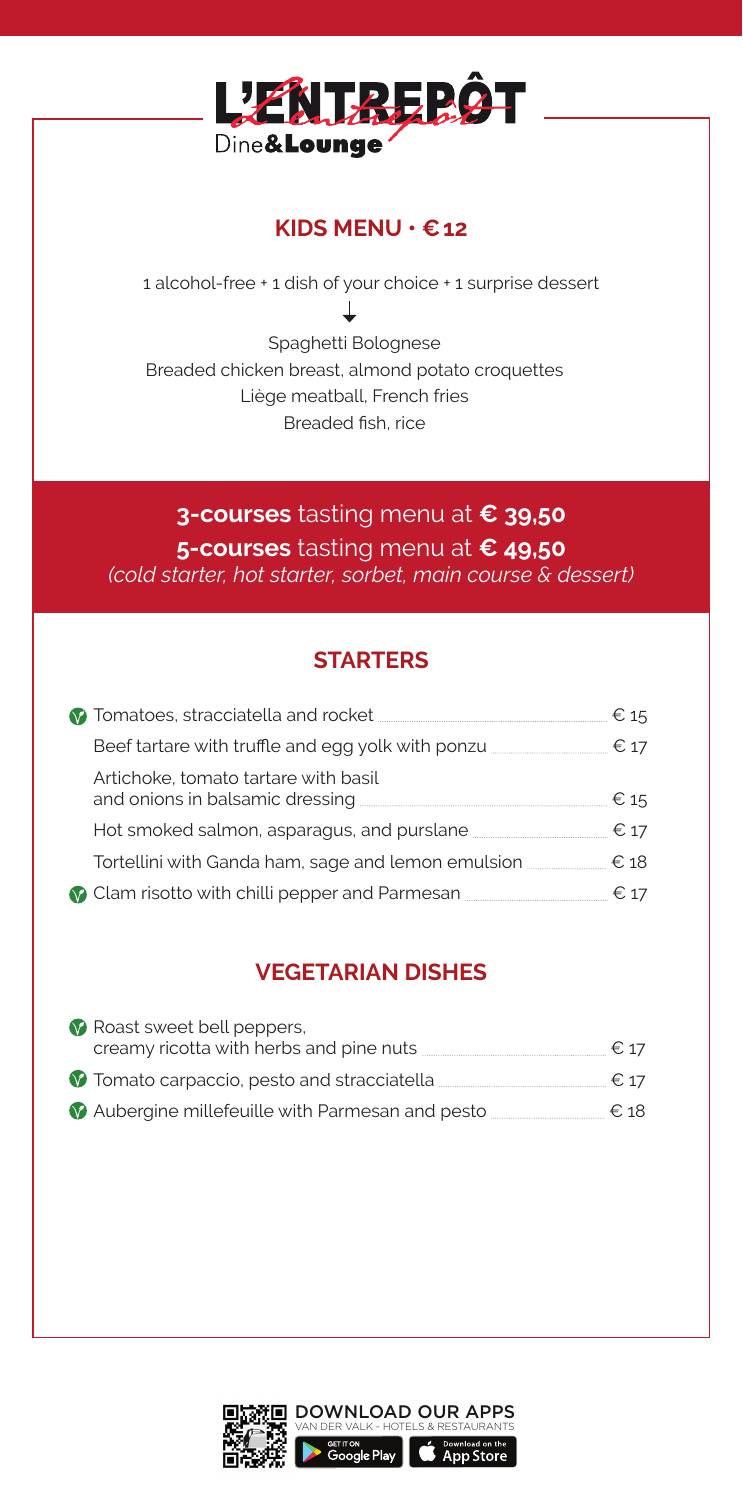

#### **KIDS MENU • €12**

1 alcohol-free + 1 dish of your choice + 1 surprise dessert Τ Spaghetti Bolognese

Breaded chicken breast, almond potato croquettes Liège meatball, French fries Breaded fish, rice

#### **3-courses** tasting menu at **€ 39,50 5-courses** tasting menu at **€ 49,50** *(cold starter, hot starter, sorbet, main course & dessert)*

#### **STARTERS**

|                                                                                      | $\in$ 15 |
|--------------------------------------------------------------------------------------|----------|
| Beef tartare with truffle and egg yolk with ponzu                                    | € 17     |
| Artichoke, tomato tartare with basil                                                 | € 15     |
| Hot smoked salmon, asparagus, and purslane <b>contract as a set of the system</b> of | € 17     |
| Tortellini with Ganda ham, sage and lemon emulsion                                   | €18      |
| 2 Clam risotto with chilli pepper and Parmesan <b>Commission</b>                     | € 17     |
|                                                                                      |          |

#### **VEGETARIAN DISHES**

| Roast sweet bell peppers,                      |               |
|------------------------------------------------|---------------|
| creamy ricotta with herbs and pine nuts        | $\epsilon$ 17 |
| Tomato carpaccio, pesto and stracciatella.     | $\epsilon$ 17 |
| Aubergine millefeuille with Parmesan and pesto | €18           |

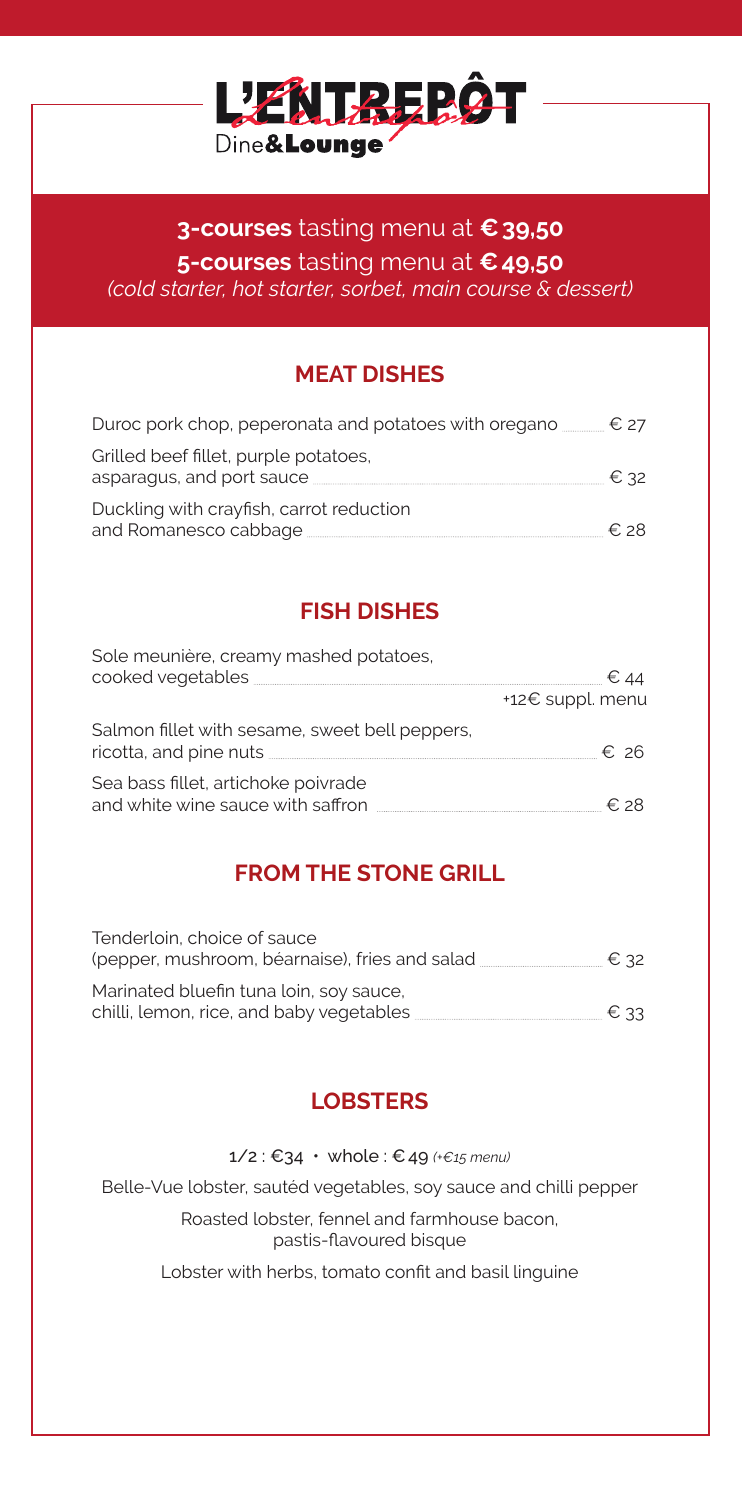

#### **3-courses** tasting menu at **€39,50 5-courses** tasting menu at **€49,50** *(cold starter, hot starter, sorbet, main course & dessert)*

#### **MEAT DISHES**

| Duroc pork chop, peperonata and potatoes with oregano $\equiv$ $\epsilon$ 27 |      |
|------------------------------------------------------------------------------|------|
| Grilled beef fillet, purple potatoes,<br>asparagus, and port sauce           | € 32 |
| Duckling with crayfish, carrot reduction<br>and Romanesco cabbage            | ∈.28 |

#### **FISH DISHES**

| Sole meunière, creamy mashed potatoes,                                   |                  |
|--------------------------------------------------------------------------|------------------|
|                                                                          | +12€ suppl. menu |
| Salmon fillet with sesame, sweet bell peppers,<br>ricotta, and pine nuts | €. 26            |
| Sea bass fillet, artichoke poivrade<br>and white wine sauce with saffron | € 28             |

#### **FROM THE STONE GRILL**

| Tenderloin, choice of sauce<br>(pepper, mushroom, béarnaise), fries and salad       | € 32          |
|-------------------------------------------------------------------------------------|---------------|
| Marinated bluefin tuna loin, soy sauce,<br>chilli, lemon, rice, and baby vegetables | $\epsilon$ 33 |

#### **LOBSTERS**

1/2 : €34 • whole : €49 *(+€15 menu)*

Belle-Vue lobster, sautéd vegetables, soy sauce and chilli pepper

Roasted lobster, fennel and farmhouse bacon, pastis-flavoured bisque

Lobster with herbs, tomato confit and basil linguine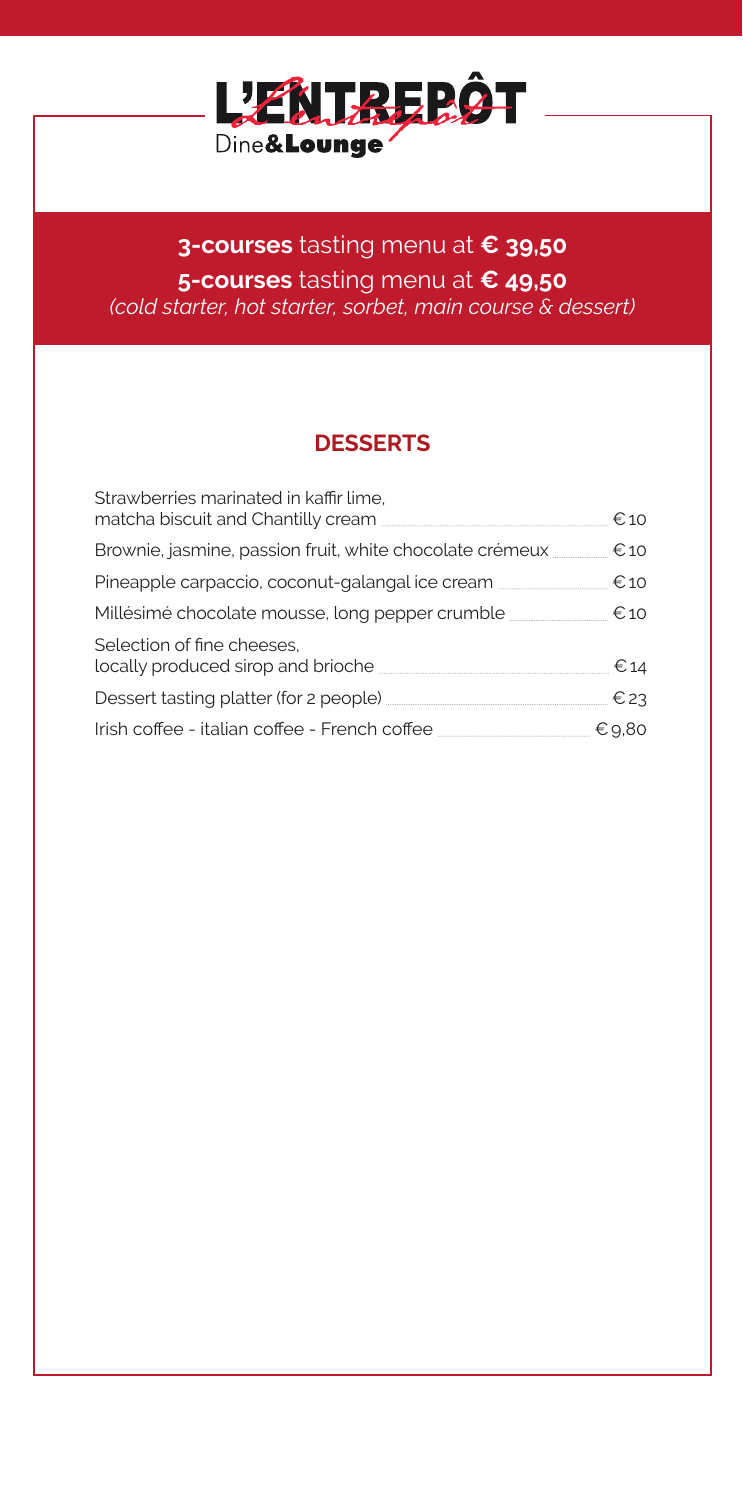

#### **3-courses** tasting menu at **€ 39,50 5-courses** tasting menu at **€ 49,50** *(cold starter, hot starter, sorbet, main course & dessert)*

#### **DESSERTS**

| Strawberries marinated in kaffir lime,<br>matcha biscuit and Chantilly cream <b>matches in the contract of the contract of the contract of the contract of the contract of the contract of the contract of the contract of the contract of the contract of the contract of</b> | $\epsilon$ 10 |
|--------------------------------------------------------------------------------------------------------------------------------------------------------------------------------------------------------------------------------------------------------------------------------|---------------|
| Brownie, jasmine, passion fruit, white chocolate crémeux                                                                                                                                                                                                                       | €10           |
| Pineapple carpaccio, coconut-galangal ice cream <b>manufacture</b>                                                                                                                                                                                                             | €10           |
| Millésimé chocolate mousse, long pepper crumble ________________________________                                                                                                                                                                                               | €10           |
| Selection of fine cheeses.                                                                                                                                                                                                                                                     | € 14          |
|                                                                                                                                                                                                                                                                                | $E$ 23        |
|                                                                                                                                                                                                                                                                                |               |